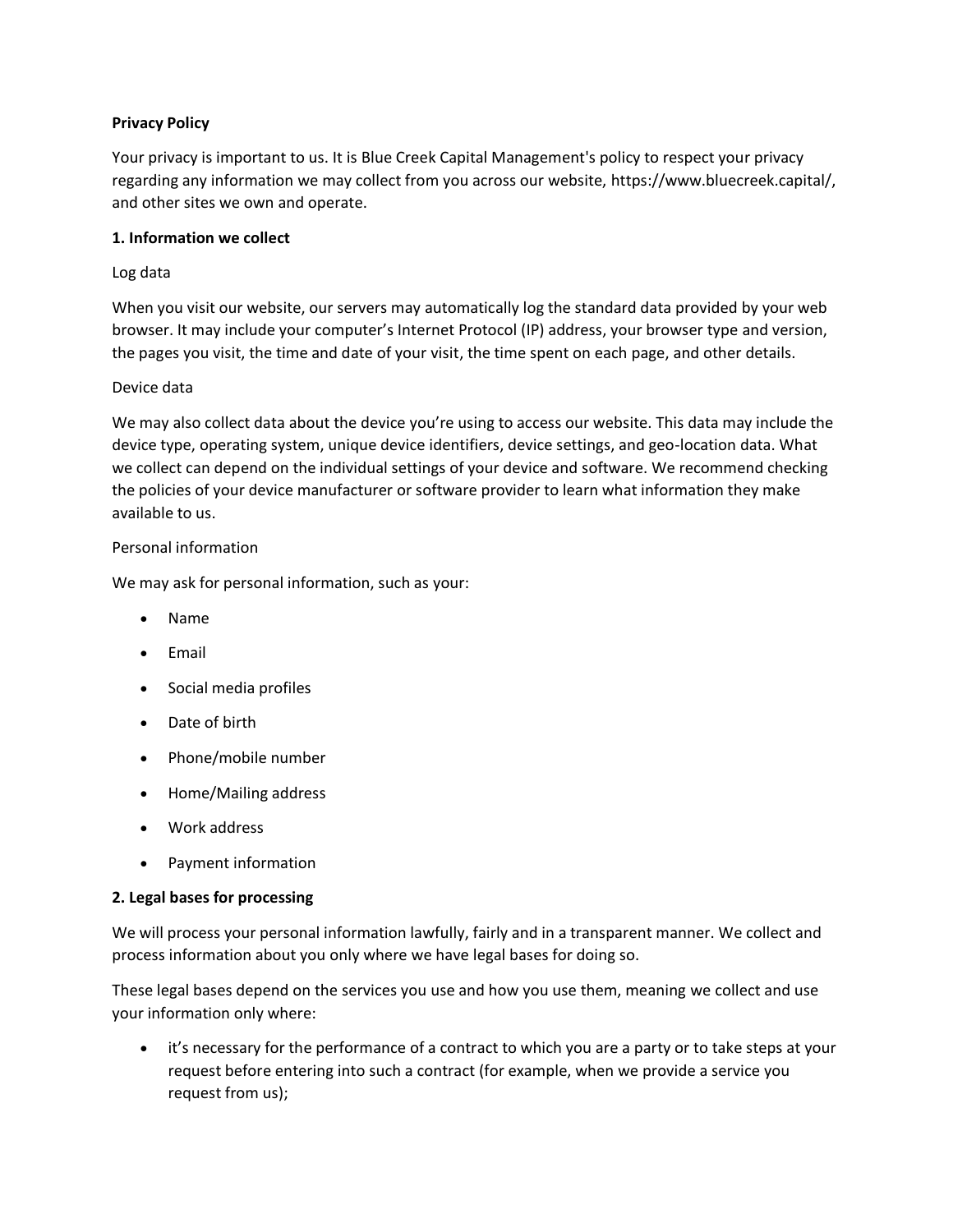# **Privacy Policy**

Your privacy is important to us. It is Blue Creek Capital Management's policy to respect your privacy regarding any information we may collect from you across our website, https://www.bluecreek.capital/, and other sites we own and operate.

### **1. Information we collect**

# Log data

When you visit our website, our servers may automatically log the standard data provided by your web browser. It may include your computer's Internet Protocol (IP) address, your browser type and version, the pages you visit, the time and date of your visit, the time spent on each page, and other details.

# Device data

We may also collect data about the device you're using to access our website. This data may include the device type, operating system, unique device identifiers, device settings, and geo-location data. What we collect can depend on the individual settings of your device and software. We recommend checking the policies of your device manufacturer or software provider to learn what information they make available to us.

# Personal information

We may ask for personal information, such as your:

- Name
- Email
- Social media profiles
- Date of birth
- Phone/mobile number
- Home/Mailing address
- Work address
- Payment information

### **2. Legal bases for processing**

We will process your personal information lawfully, fairly and in a transparent manner. We collect and process information about you only where we have legal bases for doing so.

These legal bases depend on the services you use and how you use them, meaning we collect and use your information only where:

it's necessary for the performance of a contract to which you are a party or to take steps at your request before entering into such a contract (for example, when we provide a service you request from us);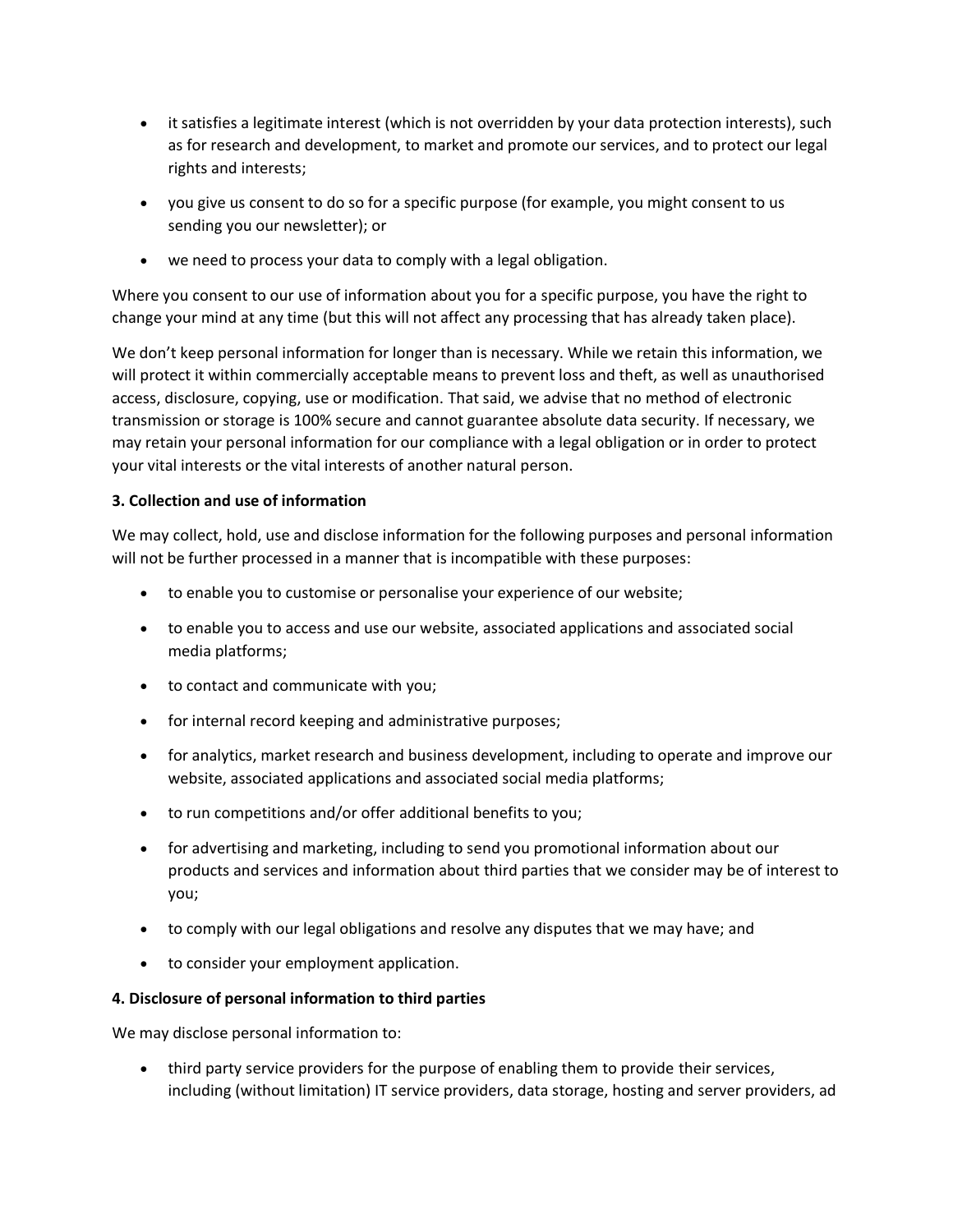- it satisfies a legitimate interest (which is not overridden by your data protection interests), such as for research and development, to market and promote our services, and to protect our legal rights and interests;
- you give us consent to do so for a specific purpose (for example, you might consent to us sending you our newsletter); or
- we need to process your data to comply with a legal obligation.

Where you consent to our use of information about you for a specific purpose, you have the right to change your mind at any time (but this will not affect any processing that has already taken place).

We don't keep personal information for longer than is necessary. While we retain this information, we will protect it within commercially acceptable means to prevent loss and theft, as well as unauthorised access, disclosure, copying, use or modification. That said, we advise that no method of electronic transmission or storage is 100% secure and cannot guarantee absolute data security. If necessary, we may retain your personal information for our compliance with a legal obligation or in order to protect your vital interests or the vital interests of another natural person.

# **3. Collection and use of information**

We may collect, hold, use and disclose information for the following purposes and personal information will not be further processed in a manner that is incompatible with these purposes:

- to enable you to customise or personalise your experience of our website;
- to enable you to access and use our website, associated applications and associated social media platforms;
- to contact and communicate with you;
- for internal record keeping and administrative purposes;
- for analytics, market research and business development, including to operate and improve our website, associated applications and associated social media platforms;
- to run competitions and/or offer additional benefits to you;
- for advertising and marketing, including to send you promotional information about our products and services and information about third parties that we consider may be of interest to you;
- to comply with our legal obligations and resolve any disputes that we may have; and
- to consider your employment application.

### **4. Disclosure of personal information to third parties**

We may disclose personal information to:

• third party service providers for the purpose of enabling them to provide their services, including (without limitation) IT service providers, data storage, hosting and server providers, ad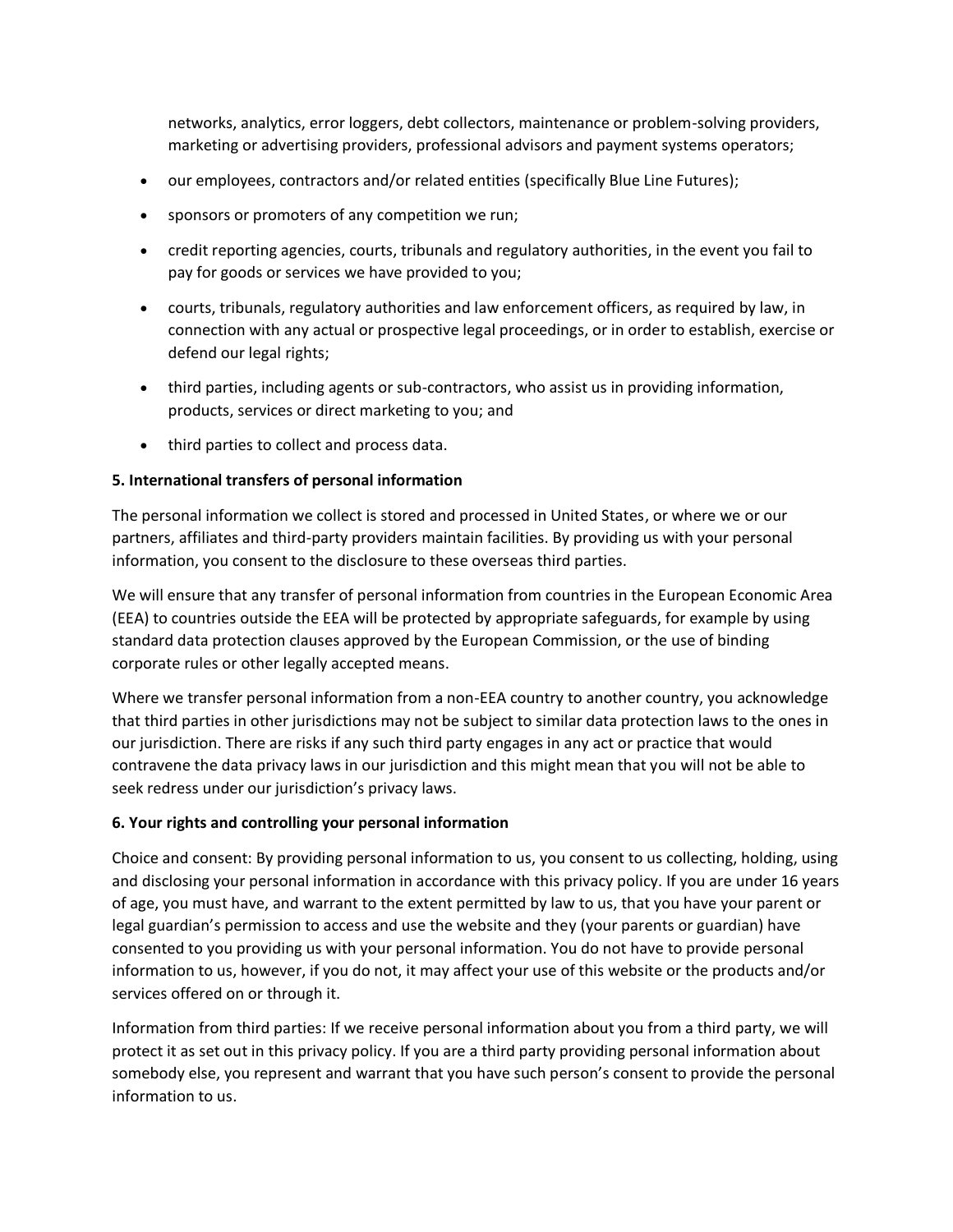networks, analytics, error loggers, debt collectors, maintenance or problem-solving providers, marketing or advertising providers, professional advisors and payment systems operators;

- our employees, contractors and/or related entities (specifically Blue Line Futures);
- sponsors or promoters of any competition we run;
- credit reporting agencies, courts, tribunals and regulatory authorities, in the event you fail to pay for goods or services we have provided to you;
- courts, tribunals, regulatory authorities and law enforcement officers, as required by law, in connection with any actual or prospective legal proceedings, or in order to establish, exercise or defend our legal rights;
- third parties, including agents or sub-contractors, who assist us in providing information, products, services or direct marketing to you; and
- third parties to collect and process data.

# **5. International transfers of personal information**

The personal information we collect is stored and processed in United States, or where we or our partners, affiliates and third-party providers maintain facilities. By providing us with your personal information, you consent to the disclosure to these overseas third parties.

We will ensure that any transfer of personal information from countries in the European Economic Area (EEA) to countries outside the EEA will be protected by appropriate safeguards, for example by using standard data protection clauses approved by the European Commission, or the use of binding corporate rules or other legally accepted means.

Where we transfer personal information from a non-EEA country to another country, you acknowledge that third parties in other jurisdictions may not be subject to similar data protection laws to the ones in our jurisdiction. There are risks if any such third party engages in any act or practice that would contravene the data privacy laws in our jurisdiction and this might mean that you will not be able to seek redress under our jurisdiction's privacy laws.

# **6. Your rights and controlling your personal information**

Choice and consent: By providing personal information to us, you consent to us collecting, holding, using and disclosing your personal information in accordance with this privacy policy. If you are under 16 years of age, you must have, and warrant to the extent permitted by law to us, that you have your parent or legal guardian's permission to access and use the website and they (your parents or guardian) have consented to you providing us with your personal information. You do not have to provide personal information to us, however, if you do not, it may affect your use of this website or the products and/or services offered on or through it.

Information from third parties: If we receive personal information about you from a third party, we will protect it as set out in this privacy policy. If you are a third party providing personal information about somebody else, you represent and warrant that you have such person's consent to provide the personal information to us.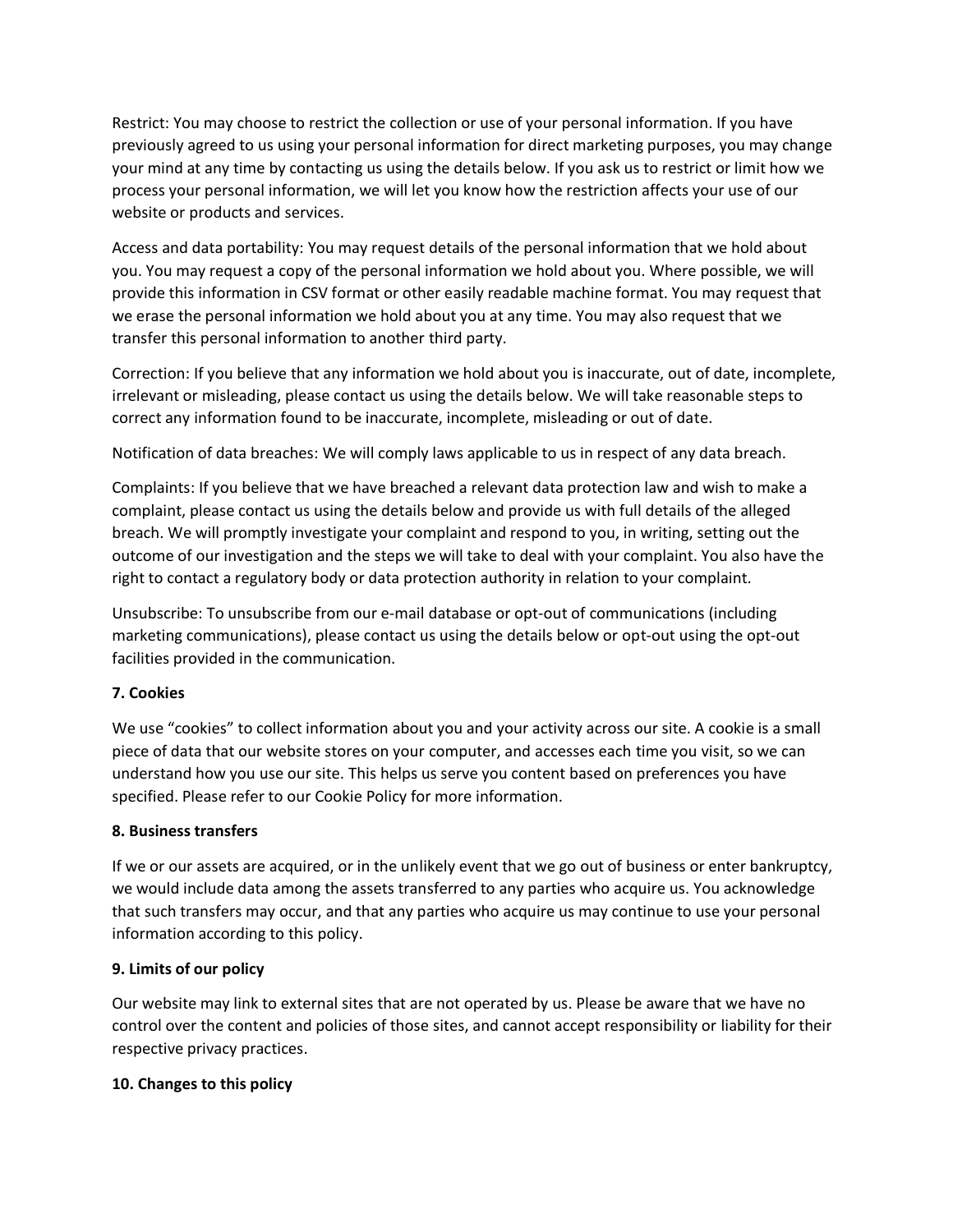Restrict: You may choose to restrict the collection or use of your personal information. If you have previously agreed to us using your personal information for direct marketing purposes, you may change your mind at any time by contacting us using the details below. If you ask us to restrict or limit how we process your personal information, we will let you know how the restriction affects your use of our website or products and services.

Access and data portability: You may request details of the personal information that we hold about you. You may request a copy of the personal information we hold about you. Where possible, we will provide this information in CSV format or other easily readable machine format. You may request that we erase the personal information we hold about you at any time. You may also request that we transfer this personal information to another third party.

Correction: If you believe that any information we hold about you is inaccurate, out of date, incomplete, irrelevant or misleading, please contact us using the details below. We will take reasonable steps to correct any information found to be inaccurate, incomplete, misleading or out of date.

Notification of data breaches: We will comply laws applicable to us in respect of any data breach.

Complaints: If you believe that we have breached a relevant data protection law and wish to make a complaint, please contact us using the details below and provide us with full details of the alleged breach. We will promptly investigate your complaint and respond to you, in writing, setting out the outcome of our investigation and the steps we will take to deal with your complaint. You also have the right to contact a regulatory body or data protection authority in relation to your complaint.

Unsubscribe: To unsubscribe from our e-mail database or opt-out of communications (including marketing communications), please contact us using the details below or opt-out using the opt-out facilities provided in the communication.

# **7. Cookies**

We use "cookies" to collect information about you and your activity across our site. A cookie is a small piece of data that our website stores on your computer, and accesses each time you visit, so we can understand how you use our site. This helps us serve you content based on preferences you have specified. Please refer to our Cookie Policy for more information.

### **8. Business transfers**

If we or our assets are acquired, or in the unlikely event that we go out of business or enter bankruptcy, we would include data among the assets transferred to any parties who acquire us. You acknowledge that such transfers may occur, and that any parties who acquire us may continue to use your personal information according to this policy.

### **9. Limits of our policy**

Our website may link to external sites that are not operated by us. Please be aware that we have no control over the content and policies of those sites, and cannot accept responsibility or liability for their respective privacy practices.

### **10. Changes to this policy**